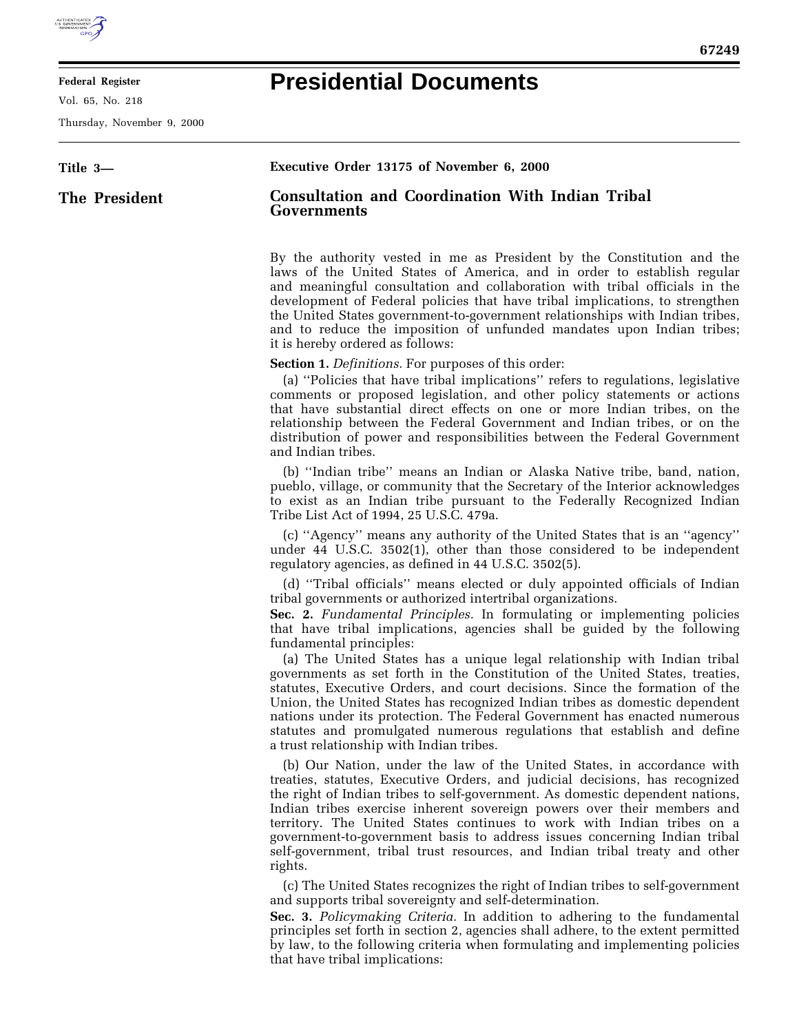

## **Federal Register**

Vol. 65, No. 218

Thursday, November 9, 2000

| . .<br>۰,<br>× |  |
|----------------|--|
|----------------|--|

## **Presidential Documents**

| Title 3-      | Executive Order 13175 of November 6, 2000                                                                                                                                                                                                                                                                                                                                                                                                                                                                    |
|---------------|--------------------------------------------------------------------------------------------------------------------------------------------------------------------------------------------------------------------------------------------------------------------------------------------------------------------------------------------------------------------------------------------------------------------------------------------------------------------------------------------------------------|
| The President | <b>Consultation and Coordination With Indian Tribal</b><br><b>Governments</b>                                                                                                                                                                                                                                                                                                                                                                                                                                |
|               | By the authority vested in me as President by the Constitution and the<br>laws of the United States of America, and in order to establish regular<br>and meaningful consultation and collaboration with tribal officials in the<br>development of Federal policies that have tribal implications, to strengthen<br>the United States government-to-government relationships with Indian tribes,<br>and to reduce the imposition of unfunded mandates upon Indian tribes;<br>it is hereby ordered as follows: |
|               | <b>Section 1.</b> <i>Definitions</i> . For purposes of this order:<br>(a) "Policies that have tribal implications" refers to regulations, legislative<br>comments or proposed legislation, and other policy statements or actions<br>that have substantial direct effects on one or more Indian tribes, on the<br>relationship between the Federal Government and Indian tribes, or on the                                                                                                                   |

distribution of power and responsibilities between the Federal Government and Indian tribes. (b) ''Indian tribe'' means an Indian or Alaska Native tribe, band, nation, pueblo, village, or community that the Secretary of the Interior acknowledges to exist as an Indian tribe pursuant to the Federally Recognized Indian Tribe List Act of 1994, 25 U.S.C. 479a.

(c) ''Agency'' means any authority of the United States that is an ''agency'' under 44 U.S.C. 3502(1), other than those considered to be independent regulatory agencies, as defined in 44 U.S.C. 3502(5).

(d) ''Tribal officials'' means elected or duly appointed officials of Indian tribal governments or authorized intertribal organizations.

**Sec. 2.** *Fundamental Principles.* In formulating or implementing policies that have tribal implications, agencies shall be guided by the following fundamental principles:

(a) The United States has a unique legal relationship with Indian tribal governments as set forth in the Constitution of the United States, treaties, statutes, Executive Orders, and court decisions. Since the formation of the Union, the United States has recognized Indian tribes as domestic dependent nations under its protection. The Federal Government has enacted numerous statutes and promulgated numerous regulations that establish and define a trust relationship with Indian tribes.

(b) Our Nation, under the law of the United States, in accordance with treaties, statutes, Executive Orders, and judicial decisions, has recognized the right of Indian tribes to self-government. As domestic dependent nations, Indian tribes exercise inherent sovereign powers over their members and territory. The United States continues to work with Indian tribes on a government-to-government basis to address issues concerning Indian tribal self-government, tribal trust resources, and Indian tribal treaty and other rights.

(c) The United States recognizes the right of Indian tribes to self-government and supports tribal sovereignty and self-determination.

**Sec. 3.** *Policymaking Criteria.* In addition to adhering to the fundamental principles set forth in section 2, agencies shall adhere, to the extent permitted by law, to the following criteria when formulating and implementing policies that have tribal implications: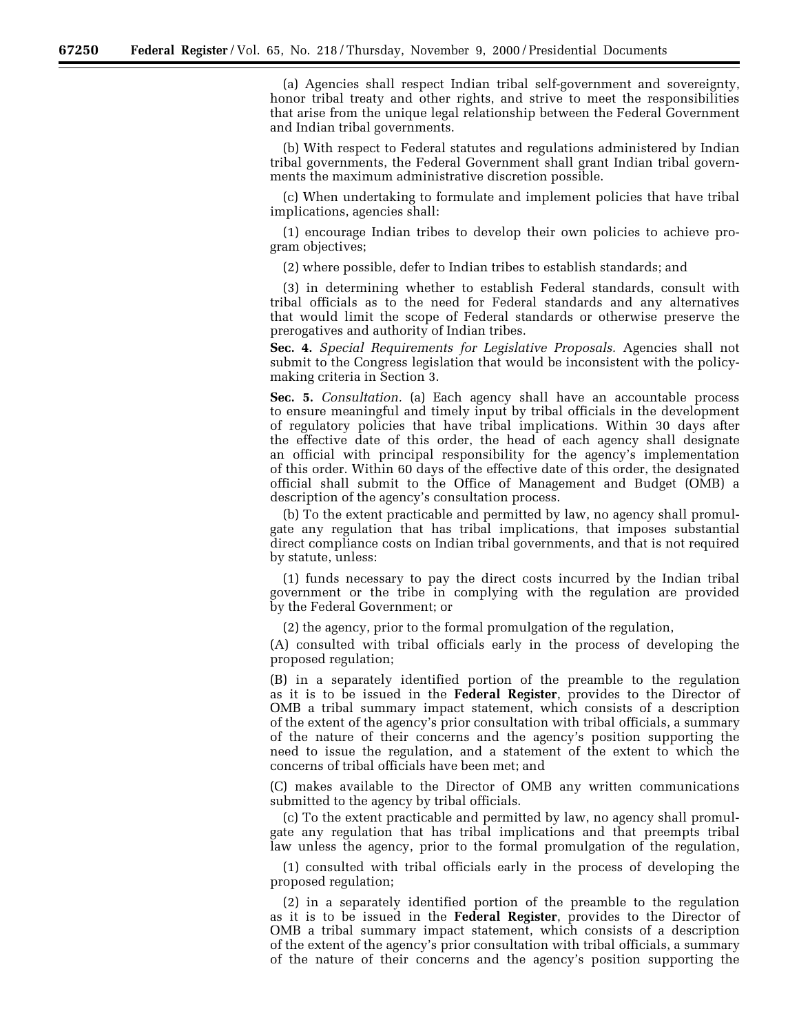(a) Agencies shall respect Indian tribal self-government and sovereignty, honor tribal treaty and other rights, and strive to meet the responsibilities that arise from the unique legal relationship between the Federal Government and Indian tribal governments.

(b) With respect to Federal statutes and regulations administered by Indian tribal governments, the Federal Government shall grant Indian tribal governments the maximum administrative discretion possible.

(c) When undertaking to formulate and implement policies that have tribal implications, agencies shall:

(1) encourage Indian tribes to develop their own policies to achieve program objectives;

(2) where possible, defer to Indian tribes to establish standards; and

(3) in determining whether to establish Federal standards, consult with tribal officials as to the need for Federal standards and any alternatives that would limit the scope of Federal standards or otherwise preserve the prerogatives and authority of Indian tribes.

**Sec. 4.** *Special Requirements for Legislative Proposals.* Agencies shall not submit to the Congress legislation that would be inconsistent with the policymaking criteria in Section 3.

**Sec. 5.** *Consultation.* (a) Each agency shall have an accountable process to ensure meaningful and timely input by tribal officials in the development of regulatory policies that have tribal implications. Within 30 days after the effective date of this order, the head of each agency shall designate an official with principal responsibility for the agency's implementation of this order. Within 60 days of the effective date of this order, the designated official shall submit to the Office of Management and Budget (OMB) a description of the agency's consultation process.

(b) To the extent practicable and permitted by law, no agency shall promulgate any regulation that has tribal implications, that imposes substantial direct compliance costs on Indian tribal governments, and that is not required by statute, unless:

(1) funds necessary to pay the direct costs incurred by the Indian tribal government or the tribe in complying with the regulation are provided by the Federal Government; or

(2) the agency, prior to the formal promulgation of the regulation,

(A) consulted with tribal officials early in the process of developing the proposed regulation;

(B) in a separately identified portion of the preamble to the regulation as it is to be issued in the **Federal Register**, provides to the Director of OMB a tribal summary impact statement, which consists of a description of the extent of the agency's prior consultation with tribal officials, a summary of the nature of their concerns and the agency's position supporting the need to issue the regulation, and a statement of the extent to which the concerns of tribal officials have been met; and

(C) makes available to the Director of OMB any written communications submitted to the agency by tribal officials.

(c) To the extent practicable and permitted by law, no agency shall promulgate any regulation that has tribal implications and that preempts tribal law unless the agency, prior to the formal promulgation of the regulation,

(1) consulted with tribal officials early in the process of developing the proposed regulation;

(2) in a separately identified portion of the preamble to the regulation as it is to be issued in the **Federal Register**, provides to the Director of OMB a tribal summary impact statement, which consists of a description of the extent of the agency's prior consultation with tribal officials, a summary of the nature of their concerns and the agency's position supporting the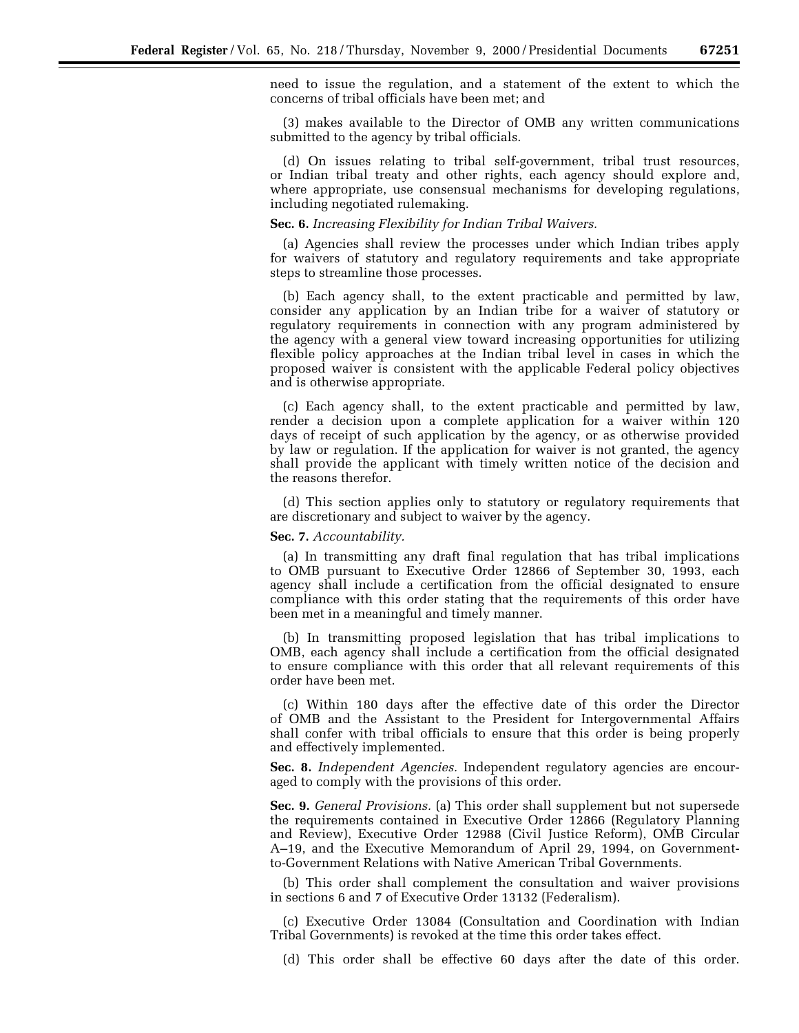need to issue the regulation, and a statement of the extent to which the concerns of tribal officials have been met; and

(3) makes available to the Director of OMB any written communications submitted to the agency by tribal officials.

(d) On issues relating to tribal self-government, tribal trust resources, or Indian tribal treaty and other rights, each agency should explore and, where appropriate, use consensual mechanisms for developing regulations, including negotiated rulemaking.

## **Sec. 6.** *Increasing Flexibility for Indian Tribal Waivers.*

(a) Agencies shall review the processes under which Indian tribes apply for waivers of statutory and regulatory requirements and take appropriate steps to streamline those processes.

(b) Each agency shall, to the extent practicable and permitted by law, consider any application by an Indian tribe for a waiver of statutory or regulatory requirements in connection with any program administered by the agency with a general view toward increasing opportunities for utilizing flexible policy approaches at the Indian tribal level in cases in which the proposed waiver is consistent with the applicable Federal policy objectives and is otherwise appropriate.

(c) Each agency shall, to the extent practicable and permitted by law, render a decision upon a complete application for a waiver within 120 days of receipt of such application by the agency, or as otherwise provided by law or regulation. If the application for waiver is not granted, the agency shall provide the applicant with timely written notice of the decision and the reasons therefor.

(d) This section applies only to statutory or regulatory requirements that are discretionary and subject to waiver by the agency.

## **Sec. 7.** *Accountability.*

(a) In transmitting any draft final regulation that has tribal implications to OMB pursuant to Executive Order 12866 of September 30, 1993, each agency shall include a certification from the official designated to ensure compliance with this order stating that the requirements of this order have been met in a meaningful and timely manner.

(b) In transmitting proposed legislation that has tribal implications to OMB, each agency shall include a certification from the official designated to ensure compliance with this order that all relevant requirements of this order have been met.

(c) Within 180 days after the effective date of this order the Director of OMB and the Assistant to the President for Intergovernmental Affairs shall confer with tribal officials to ensure that this order is being properly and effectively implemented.

**Sec. 8.** *Independent Agencies.* Independent regulatory agencies are encouraged to comply with the provisions of this order.

**Sec. 9.** *General Provisions.* (a) This order shall supplement but not supersede the requirements contained in Executive Order 12866 (Regulatory Planning and Review), Executive Order 12988 (Civil Justice Reform), OMB Circular A–19, and the Executive Memorandum of April 29, 1994, on Governmentto-Government Relations with Native American Tribal Governments.

(b) This order shall complement the consultation and waiver provisions in sections 6 and 7 of Executive Order 13132 (Federalism).

(c) Executive Order 13084 (Consultation and Coordination with Indian Tribal Governments) is revoked at the time this order takes effect.

(d) This order shall be effective 60 days after the date of this order.